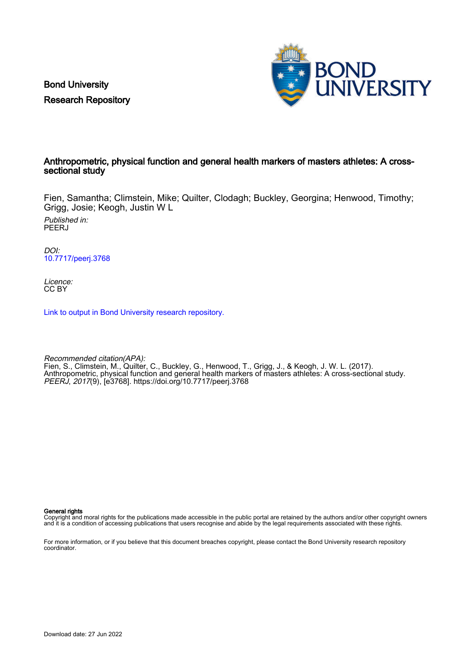Bond University Research Repository



## Anthropometric, physical function and general health markers of masters athletes: A crosssectional study

Fien, Samantha; Climstein, Mike; Quilter, Clodagh; Buckley, Georgina; Henwood, Timothy; Grigg, Josie; Keogh, Justin W L

Published in: **PEERJ** 

DOI: [10.7717/peerj.3768](https://doi.org/10.7717/peerj.3768)

Licence: CC BY

[Link to output in Bond University research repository.](https://research.bond.edu.au/en/publications/397703bf-83fd-40c8-8a33-d7d59ac201d3)

Recommended citation(APA): Fien, S., Climstein, M., Quilter, C., Buckley, G., Henwood, T., Grigg, J., & Keogh, J. W. L. (2017). Anthropometric, physical function and general health markers of masters athletes: A cross-sectional study. PEERJ, 2017(9), [e3768]. <https://doi.org/10.7717/peerj.3768>

General rights

Copyright and moral rights for the publications made accessible in the public portal are retained by the authors and/or other copyright owners and it is a condition of accessing publications that users recognise and abide by the legal requirements associated with these rights.

For more information, or if you believe that this document breaches copyright, please contact the Bond University research repository coordinator.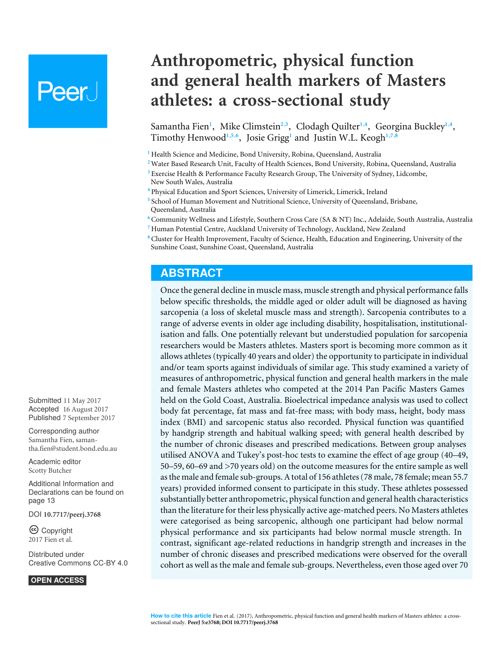# **Peer**

**Anthropometric, physical function and general health markers of Masters athletes: a cross-sectional study**

<span id="page-1-14"></span><span id="page-1-13"></span><span id="page-1-12"></span><span id="page-1-11"></span><span id="page-1-10"></span><span id="page-1-9"></span><span id="page-1-8"></span>Samantha Fien<sup>[1](#page-1-0)</sup>, Mike Climstein<sup>[2](#page-1-1),[3](#page-1-2)</sup>, Clodagh Quilter<sup>1,[4](#page-1-3)</sup>, Georgina Buckley<sup>1,4</sup>, Timothy Henwood**[1](#page-1-0)**,**[5](#page-1-4)**,**[6](#page-1-5)** , Josie Grigg**[1](#page-1-0)** and Justin W.L. Keogh**[1](#page-1-0)**,**[7](#page-1-6)**,**[8](#page-1-7)**

<span id="page-1-0"></span><sup>1</sup> Health Science and Medicine, Bond University, Robina, Queensland, Australia

<span id="page-1-1"></span>**<sup>2</sup>** Water Based Research Unit, Faculty of Health Sciences, Bond University, Robina, Queensland, Australia

<span id="page-1-2"></span>**<sup>3</sup>** Exercise Health & Performance Faculty Research Group, The University of Sydney, Lidcombe, New South Wales, Australia

<span id="page-1-3"></span>**<sup>4</sup>** Physical Education and Sport Sciences, University of Limerick, Limerick, Ireland

<span id="page-1-4"></span>**5** School of Human Movement and Nutritional Science, University of Queensland, Brisbane, Queensland, Australia

<span id="page-1-5"></span>**<sup>6</sup>** Community Wellness and Lifestyle, Southern Cross Care (SA & NT) Inc., Adelaide, South Australia, Australia **<sup>7</sup>** Human Potential Centre, Auckland University of Technology, Auckland, New Zealand

<span id="page-1-7"></span><span id="page-1-6"></span>**<sup>8</sup>** Cluster for Health Improvement, Faculty of Science, Health, Education and Engineering, University of the Sunshine Coast, Sunshine Coast, Queensland, Australia

# **ABSTRACT**

Once the general decline in muscle mass, muscle strength and physical performance falls below specific thresholds, the middle aged or older adult will be diagnosed as having sarcopenia (a loss of skeletal muscle mass and strength). Sarcopenia contributes to a range of adverse events in older age including disability, hospitalisation, institutionalisation and falls. One potentially relevant but understudied population for sarcopenia researchers would be Masters athletes. Masters sport is becoming more common as it allows athletes (typically 40 years and older) the opportunity to participate in individual and/or team sports against individuals of similar age. This study examined a variety of measures of anthropometric, physical function and general health markers in the male and female Masters athletes who competed at the 2014 Pan Pacific Masters Games held on the Gold Coast, Australia. Bioelectrical impedance analysis was used to collect body fat percentage, fat mass and fat-free mass; with body mass, height, body mass index (BMI) and sarcopenic status also recorded. Physical function was quantified by handgrip strength and habitual walking speed; with general health described by the number of chronic diseases and prescribed medications. Between group analyses utilised ANOVA and Tukey's post-hoc tests to examine the effect of age group (40–49, 50–59, 60–69 and >70 years old) on the outcome measures for the entire sample as well as the male and female sub-groups. A total of 156 athletes (78 male, 78 female; mean 55.7 years) provided informed consent to participate in this study. These athletes possessed substantially better anthropometric, physical function and general health characteristics than the literature for their less physically active age-matched peers. No Masters athletes were categorised as being sarcopenic, although one participant had below normal physical performance and six participants had below normal muscle strength. In contrast, significant age-related reductions in handgrip strength and increases in the number of chronic diseases and prescribed medications were observed for the overall cohort as well as the male and female sub-groups. Nevertheless, even those aged over 70

Submitted 11 May 2017 Accepted 16 August 2017 Published 7 September 2017

Corresponding author Samantha Fien, [saman](mailto:samantha.fien@student.bond.edu.au)[tha.fien@student.bond.edu.au](mailto:samantha.fien@student.bond.edu.au)

[Academic editor](https://peerj.com/academic-boards/editors/) [Scotty Butcher](https://peerj.com/academic-boards/editors/)

[Additional Information and](#page-13-0) [Declarations can be found on](#page-13-0) [page 13](#page-13-0)

DOI **[10.7717/peerj.3768](http://dx.doi.org/10.7717/peerj.3768)**

Copyright 2017 Fien et al.

[Distributed under](http://creativecommons.org/licenses/by/4.0/) [Creative Commons CC-BY 4.0](http://creativecommons.org/licenses/by/4.0/)

**OPEN ACCESS**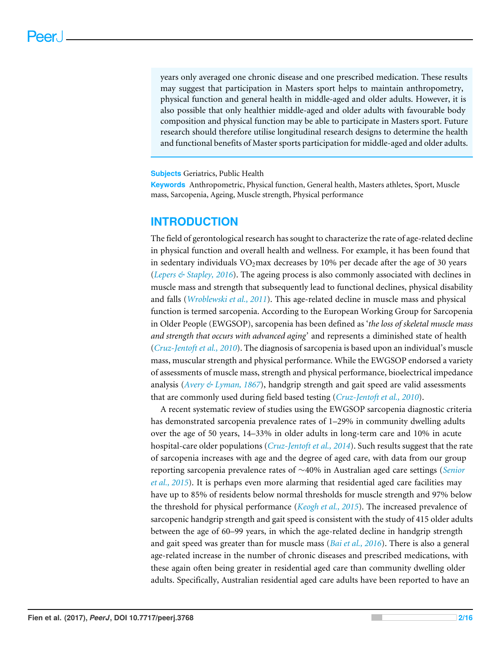years only averaged one chronic disease and one prescribed medication. These results may suggest that participation in Masters sport helps to maintain anthropometry, physical function and general health in middle-aged and older adults. However, it is also possible that only healthier middle-aged and older adults with favourable body composition and physical function may be able to participate in Masters sport. Future research should therefore utilise longitudinal research designs to determine the health and functional benefits of Master sports participation for middle-aged and older adults.

**Subjects** Geriatrics, Public Health

**Keywords** Anthropometric, Physical function, General health, Masters athletes, Sport, Muscle mass, Sarcopenia, Ageing, Muscle strength, Physical performance

# **INTRODUCTION**

The field of gerontological research has sought to characterize the rate of age-related decline in physical function and overall health and wellness. For example, it has been found that in sedentary individuals  $VO<sub>2</sub>$  max decreases by 10% per decade after the age of 30 years (*[Lepers & Stapley,](#page-15-0) [2016](#page-15-0)*). The ageing process is also commonly associated with declines in muscle mass and strength that subsequently lead to functional declines, physical disability and falls (*[Wroblewski et al., 2011](#page-16-0)*). This age-related decline in muscle mass and physical function is termed sarcopenia. According to the European Working Group for Sarcopenia in Older People (EWGSOP), sarcopenia has been defined as '*the loss of skeletal muscle mass and strength that occurs with advanced aging'* and represents a diminished state of health (*[Cruz-Jentoft et al., 2010](#page-14-0)*). The diagnosis of sarcopenia is based upon an individual's muscle mass, muscular strength and physical performance. While the EWGSOP endorsed a variety of assessments of muscle mass, strength and physical performance, bioelectrical impedance analysis (*[Avery & Lyman, 1867](#page-14-1)*), handgrip strength and gait speed are valid assessments that are commonly used during field based testing (*[Cruz-Jentoft et al., 2010](#page-14-0)*).

A recent systematic review of studies using the EWGSOP sarcopenia diagnostic criteria has demonstrated sarcopenia prevalence rates of 1–29% in community dwelling adults over the age of 50 years, 14–33% in older adults in long-term care and 10% in acute hospital-care older populations (*[Cruz-Jentoft et al., 2014](#page-14-2)*). Such results suggest that the rate of sarcopenia increases with age and the degree of aged care, with data from our group reporting sarcopenia prevalence rates of ∼40% in Australian aged care settings (*[Senior](#page-16-1) [et al., 2015](#page-16-1)*). It is perhaps even more alarming that residential aged care facilities may have up to 85% of residents below normal thresholds for muscle strength and 97% below the threshold for physical performance (*[Keogh et al., 2015](#page-15-1)*). The increased prevalence of sarcopenic handgrip strength and gait speed is consistent with the study of 415 older adults between the age of 60–99 years, in which the age-related decline in handgrip strength and gait speed was greater than for muscle mass (*[Bai et al., 2016](#page-14-3)*). There is also a general age-related increase in the number of chronic diseases and prescribed medications, with these again often being greater in residential aged care than community dwelling older adults. Specifically, Australian residential aged care adults have been reported to have an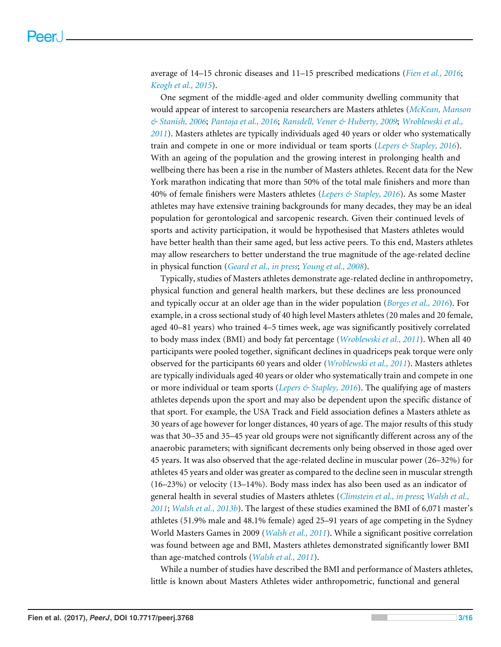average of 14–15 chronic diseases and 11–15 prescribed medications (*[Fien et al., 2016](#page-15-2)*; *[Keogh et al., 2015](#page-15-1)*).

One segment of the middle-aged and older community dwelling community that would appear of interest to sarcopenia researchers are Masters athletes (*[McKean, Manson](#page-15-3) [& Stanish, 2006](#page-15-3)*; *[Pantoja et al., 2016](#page-16-2)*; *[Ransdell, Vener & Huberty, 2009](#page-16-3)*; *[Wroblewski et al.,](#page-16-0) [2011](#page-16-0)*). Masters athletes are typically individuals aged 40 years or older who systematically train and compete in one or more individual or team sports (*[Lepers & Stapley, 2016](#page-15-0)*). With an ageing of the population and the growing interest in prolonging health and wellbeing there has been a rise in the number of Masters athletes. Recent data for the New York marathon indicating that more than 50% of the total male finishers and more than 40% of female finishers were Masters athletes (*[Lepers & Stapley, 2016](#page-15-0)*). As some Master athletes may have extensive training backgrounds for many decades, they may be an ideal population for gerontological and sarcopenic research. Given their continued levels of sports and activity participation, it would be hypothesised that Masters athletes would have better health than their same aged, but less active peers. To this end, Masters athletes may allow researchers to better understand the true magnitude of the age-related decline in physical function (*[Geard et al., in press](#page-15-4)*; *[Young et al., 2008](#page-16-4)*).

Typically, studies of Masters athletes demonstrate age-related decline in anthropometry, physical function and general health markers, but these declines are less pronounced and typically occur at an older age than in the wider population (*[Borges et al., 2016](#page-14-4)*). For example, in a cross sectional study of 40 high level Masters athletes (20 males and 20 female, aged 40–81 years) who trained 4–5 times week, age was significantly positively correlated to body mass index (BMI) and body fat percentage (*[Wroblewski et al., 2011](#page-16-0)*). When all 40 participants were pooled together, significant declines in quadriceps peak torque were only observed for the participants 60 years and older (*[Wroblewski et al., 2011](#page-16-0)*). Masters athletes are typically individuals aged 40 years or older who systematically train and compete in one or more individual or team sports (*[Lepers & Stapley,](#page-15-0) [2016](#page-15-0)*). The qualifying age of masters athletes depends upon the sport and may also be dependent upon the specific distance of that sport. For example, the USA Track and Field association defines a Masters athlete as 30 years of age however for longer distances, 40 years of age. The major results of this study was that 30–35 and 35–45 year old groups were not significantly different across any of the anaerobic parameters; with significant decrements only being observed in those aged over 45 years. It was also observed that the age-related decline in muscular power (26–32%) for athletes 45 years and older was greater as compared to the decline seen in muscular strength (16–23%) or velocity (13–14%). Body mass index has also been used as an indicator of general health in several studies of Masters athletes (*[Climstein et al., in press](#page-14-5)*; *[Walsh et al.,](#page-16-5) [2011](#page-16-5)*; *[Walsh et al., 2013b](#page-16-6)*). The largest of these studies examined the BMI of 6,071 master's athletes (51.9% male and 48.1% female) aged 25–91 years of age competing in the Sydney World Masters Games in 2009 (*[Walsh et al., 2011](#page-16-5)*). While a significant positive correlation was found between age and BMI, Masters athletes demonstrated significantly lower BMI than age-matched controls (*[Walsh et al., 2011](#page-16-5)*).

While a number of studies have described the BMI and performance of Masters athletes, little is known about Masters Athletes wider anthropometric, functional and general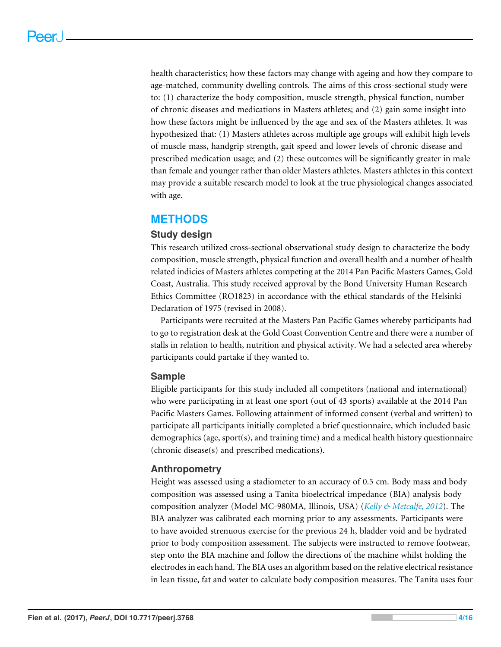health characteristics; how these factors may change with ageing and how they compare to age-matched, community dwelling controls. The aims of this cross-sectional study were to: (1) characterize the body composition, muscle strength, physical function, number of chronic diseases and medications in Masters athletes; and (2) gain some insight into how these factors might be influenced by the age and sex of the Masters athletes. It was hypothesized that: (1) Masters athletes across multiple age groups will exhibit high levels of muscle mass, handgrip strength, gait speed and lower levels of chronic disease and prescribed medication usage; and (2) these outcomes will be significantly greater in male than female and younger rather than older Masters athletes. Masters athletes in this context may provide a suitable research model to look at the true physiological changes associated with age.

# **METHODS**

# **Study design**

This research utilized cross-sectional observational study design to characterize the body composition, muscle strength, physical function and overall health and a number of health related indicies of Masters athletes competing at the 2014 Pan Pacific Masters Games, Gold Coast, Australia. This study received approval by the Bond University Human Research Ethics Committee (RO1823) in accordance with the ethical standards of the Helsinki Declaration of 1975 (revised in 2008).

Participants were recruited at the Masters Pan Pacific Games whereby participants had to go to registration desk at the Gold Coast Convention Centre and there were a number of stalls in relation to health, nutrition and physical activity. We had a selected area whereby participants could partake if they wanted to.

## **Sample**

Eligible participants for this study included all competitors (national and international) who were participating in at least one sport (out of 43 sports) available at the 2014 Pan Pacific Masters Games. Following attainment of informed consent (verbal and written) to participate all participants initially completed a brief questionnaire, which included basic demographics (age, sport(s), and training time) and a medical health history questionnaire (chronic disease(s) and prescribed medications).

# **Anthropometry**

Height was assessed using a stadiometer to an accuracy of 0.5 cm. Body mass and body composition was assessed using a Tanita bioelectrical impedance (BIA) analysis body composition analyzer (Model MC-980MA, Illinois, USA) (*[Kelly & Metcalfe, 2012](#page-15-5)*). The BIA analyzer was calibrated each morning prior to any assessments. Participants were to have avoided strenuous exercise for the previous 24 h, bladder void and be hydrated prior to body composition assessment. The subjects were instructed to remove footwear, step onto the BIA machine and follow the directions of the machine whilst holding the electrodes in each hand. The BIA uses an algorithm based on the relative electrical resistance in lean tissue, fat and water to calculate body composition measures. The Tanita uses four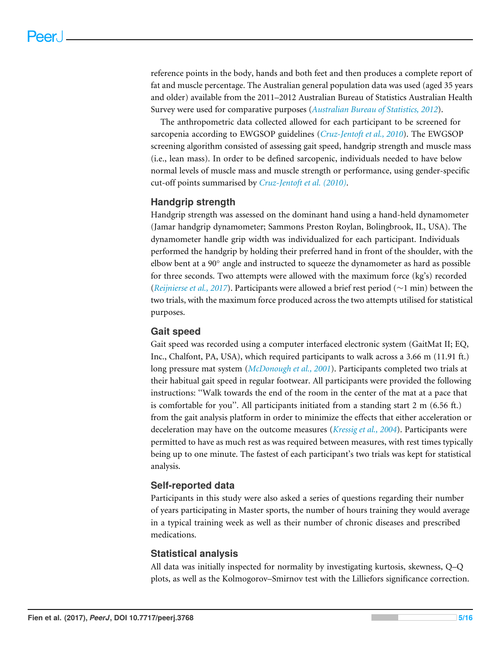reference points in the body, hands and both feet and then produces a complete report of fat and muscle percentage. The Australian general population data was used (aged 35 years and older) available from the 2011–2012 Australian Bureau of Statistics Australian Health Survey were used for comparative purposes (*[Australian Bureau of Statistics, 2012](#page-14-6)*).

The anthropometric data collected allowed for each participant to be screened for sarcopenia according to EWGSOP guidelines (*[Cruz-Jentoft et al., 2010](#page-14-0)*). The EWGSOP screening algorithm consisted of assessing gait speed, handgrip strength and muscle mass (i.e., lean mass). In order to be defined sarcopenic, individuals needed to have below normal levels of muscle mass and muscle strength or performance, using gender-specific cut-off points summarised by *[Cruz-Jentoft et al. \(2010\)](#page-14-0)*.

## **Handgrip strength**

Handgrip strength was assessed on the dominant hand using a hand-held dynamometer (Jamar handgrip dynamometer; Sammons Preston Roylan, Bolingbrook, IL, USA). The dynamometer handle grip width was individualized for each participant. Individuals performed the handgrip by holding their preferred hand in front of the shoulder, with the elbow bent at a 90° angle and instructed to squeeze the dynamometer as hard as possible for three seconds. Two attempts were allowed with the maximum force (kg's) recorded (*[Reijnierse et al., 2017](#page-16-7)*). Participants were allowed a brief rest period (∼1 min) between the two trials, with the maximum force produced across the two attempts utilised for statistical purposes.

## **Gait speed**

Gait speed was recorded using a computer interfaced electronic system (GaitMat II; EQ, Inc., Chalfont, PA, USA), which required participants to walk across a 3.66 m (11.91 ft.) long pressure mat system (*[McDonough et al., 2001](#page-15-6)*). Participants completed two trials at their habitual gait speed in regular footwear. All participants were provided the following instructions: ''Walk towards the end of the room in the center of the mat at a pace that is comfortable for you". All participants initiated from a standing start  $2 \text{ m}$  (6.56 ft.) from the gait analysis platform in order to minimize the effects that either acceleration or deceleration may have on the outcome measures (*[Kressig et al., 2004](#page-15-7)*). Participants were permitted to have as much rest as was required between measures, with rest times typically being up to one minute. The fastest of each participant's two trials was kept for statistical analysis.

## **Self-reported data**

Participants in this study were also asked a series of questions regarding their number of years participating in Master sports, the number of hours training they would average in a typical training week as well as their number of chronic diseases and prescribed medications.

## **Statistical analysis**

All data was initially inspected for normality by investigating kurtosis, skewness, Q–Q plots, as well as the Kolmogorov–Smirnov test with the Lilliefors significance correction.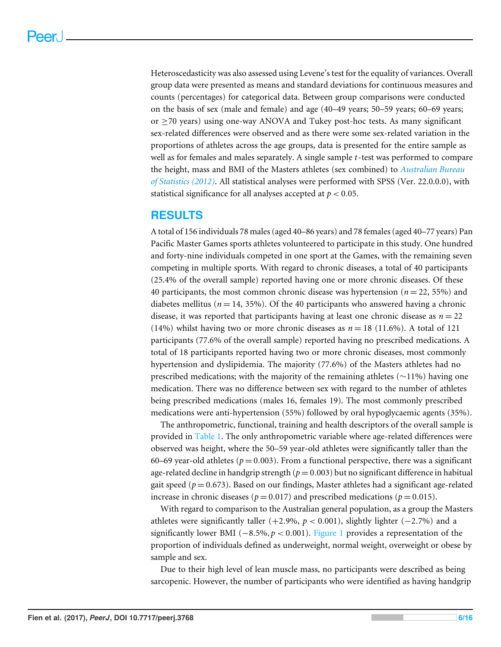Heteroscedasticity was also assessed using Levene's test for the equality of variances. Overall group data were presented as means and standard deviations for continuous measures and counts (percentages) for categorical data. Between group comparisons were conducted on the basis of sex (male and female) and age (40–49 years; 50–59 years; 60–69 years; or ≥70 years) using one-way ANOVA and Tukey post-hoc tests. As many significant sex-related differences were observed and as there were some sex-related variation in the proportions of athletes across the age groups, data is presented for the entire sample as well as for females and males separately. A single sample *t*-test was performed to compare the height, mass and BMI of the Masters athletes (sex combined) to *[Australian Bureau](#page-14-6) [of Statistics \(2012\)](#page-14-6)*. All statistical analyses were performed with SPSS (Ver. 22.0.0.0), with statistical significance for all analyses accepted at *p* < 0.05.

# **RESULTS**

A total of 156 individuals 78 males (aged 40–86 years) and 78 females (aged 40–77 years) Pan Pacific Master Games sports athletes volunteered to participate in this study. One hundred and forty-nine individuals competed in one sport at the Games, with the remaining seven competing in multiple sports. With regard to chronic diseases, a total of 40 participants (25.4% of the overall sample) reported having one or more chronic diseases. Of these 40 participants, the most common chronic disease was hypertension (*n* = 22, 55%) and diabetes mellitus ( $n = 14$ , 35%). Of the 40 participants who answered having a chronic disease, it was reported that participants having at least one chronic disease as  $n = 22$ (14%) whilst having two or more chronic diseases as  $n = 18$  (11.6%). A total of 121 participants (77.6% of the overall sample) reported having no prescribed medications. A total of 18 participants reported having two or more chronic diseases, most commonly hypertension and dyslipidemia. The majority (77.6%) of the Masters athletes had no prescribed medications; with the majority of the remaining athletes (∼11%) having one medication. There was no difference between sex with regard to the number of athletes being prescribed medications (males 16, females 19). The most commonly prescribed medications were anti-hypertension (55%) followed by oral hypoglycaemic agents (35%).

The anthropometric, functional, training and health descriptors of the overall sample is provided in [Table 1.](#page-7-0) The only anthropometric variable where age-related differences were observed was height, where the 50–59 year-old athletes were significantly taller than the 60–69 year-old athletes ( $p = 0.003$ ). From a functional perspective, there was a significant age-related decline in handgrip strength  $(p = 0.003)$  but no significant difference in habitual gait speed ( $p = 0.673$ ). Based on our findings, Master athletes had a significant age-related increase in chronic diseases ( $p = 0.017$ ) and prescribed medications ( $p = 0.015$ ).

With regard to comparison to the Australian general population, as a group the Masters athletes were significantly taller (+2.9%, *p* < 0.001), slightly lighter (−2.7%) and a significantly lower BMI (−8.5%,*p* < 0.001). [Figure 1](#page-7-1) provides a representation of the proportion of individuals defined as underweight, normal weight, overweight or obese by sample and sex.

Due to their high level of lean muscle mass, no participants were described as being sarcopenic. However, the number of participants who were identified as having handgrip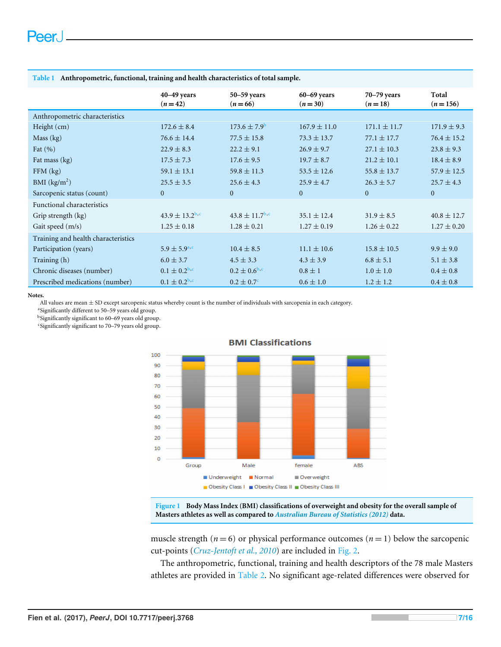|                                     | $40 - 49$ years<br>$(n=42)$ | 50-59 years<br>$(n=66)$   | $60 - 69$ years<br>$(n=30)$ | $70 - 79$ years<br>$(n=18)$ | Total<br>$(n=156)$ |
|-------------------------------------|-----------------------------|---------------------------|-----------------------------|-----------------------------|--------------------|
| Anthropometric characteristics      |                             |                           |                             |                             |                    |
| Height (cm)                         | $172.6 \pm 8.4$             | $173.6 \pm 7.9^{\circ}$   | $167.9 \pm 11.0$            | $171.1 \pm 11.7$            | $171.9 \pm 9.3$    |
| Mass (kg)                           | $76.6 \pm 14.4$             | $77.5 \pm 15.8$           | $73.3 \pm 13.7$             | $77.1 \pm 17.7$             | $76.4 \pm 15.2$    |
| Fat $(\% )$                         | $22.9 \pm 8.3$              | $22.2 \pm 9.1$            | $26.9 \pm 9.7$              | $27.1 \pm 10.3$             | $23.8 \pm 9.3$     |
| Fat mass (kg)                       | $17.5 \pm 7.3$              | $17.6 \pm 9.5$            | $19.7 \pm 8.7$              | $21.2 \pm 10.1$             | $18.4 \pm 8.9$     |
| $FFM$ (kg)                          | $59.1 \pm 13.1$             | $59.8 \pm 11.3$           | $53.5 \pm 12.6$             | $55.8 \pm 13.7$             | $57.9 \pm 12.5$    |
| BMI $(kg/m2)$                       | $25.5 \pm 3.5$              | $25.6 \pm 4.3$            | $25.9 \pm 4.7$              | $26.3 \pm 5.7$              | $25.7 \pm 4.3$     |
| Sarcopenic status (count)           | $\mathbf{0}$                | $\overline{0}$            | $\theta$                    | $\overline{0}$              | $\overline{0}$     |
| Functional characteristics          |                             |                           |                             |                             |                    |
| Grip strength (kg)                  | $43.9 \pm 13.2^{\rm b,c}$   | $43.8 \pm 11.7^{\rm b,c}$ | $35.1 \pm 12.4$             | $31.9 \pm 8.5$              | $40.8 \pm 12.7$    |
| Gait speed (m/s)                    | $1.25 \pm 0.18$             | $1.28 \pm 0.21$           | $1.27 \pm 0.19$             | $1.26 \pm 0.22$             | $1.27 \pm 0.20$    |
| Training and health characteristics |                             |                           |                             |                             |                    |
| Participation (years)               | $5.9 \pm 5.9^{\text{a.c.}}$ | $10.4 \pm 8.5$            | $11.1 \pm 10.6$             | $15.8 \pm 10.5$             | $9.9 \pm 9.0$      |
| Training (h)                        | $6.0 \pm 3.7$               | $4.5 \pm 3.3$             | $4.3 \pm 3.9$               | $6.8 \pm 5.1$               | $5.1 \pm 3.8$      |
| Chronic diseases (number)           | $0.1 \pm 0.2^{\rm b,c}$     | $0.2 \pm 0.6^{\rm b,c}$   | $0.8 \pm 1$                 | $1.0 \pm 1.0$               | $0.4 \pm 0.8$      |
| Prescribed medications (number)     | $0.1 \pm 0.2^{\rm b,c}$     | $0.2 \pm 0.7^{\circ}$     | $0.6 \pm 1.0$               | $1.2 \pm 1.2$               | $0.4 \pm 0.8$      |

#### <span id="page-7-0"></span>**Table 1 Anthropometric, functional, training and health characteristics of total sample.**

**Notes.**

All values are mean  $\pm$  SD except sarcopenic status whereby count is the number of individuals with sarcopenia in each category.

<span id="page-7-4"></span>a Significantly different to 50–59 years old group.

<span id="page-7-2"></span>b Significantly significant to 60–69 years old group.

<span id="page-7-3"></span>c Significantly significant to 70–79 years old group.

<span id="page-7-1"></span>

#### **BMI Classifications**

**Figure 1 Body Mass Index (BMI) classifications of overweight and obesity for the overall sample of Masters athletes as well as compared to** *[Australian Bureau of Statistics \(2012\)](#page-14-6)* **data.**

muscle strength ( $n = 6$ ) or physical performance outcomes ( $n = 1$ ) below the sarcopenic cut-points (*[Cruz-Jentoft et al., 2010](#page-14-0)*) are included in [Fig. 2.](#page-8-0)

The anthropometric, functional, training and health descriptors of the 78 male Masters athletes are provided in [Table 2.](#page-9-0) No significant age-related differences were observed for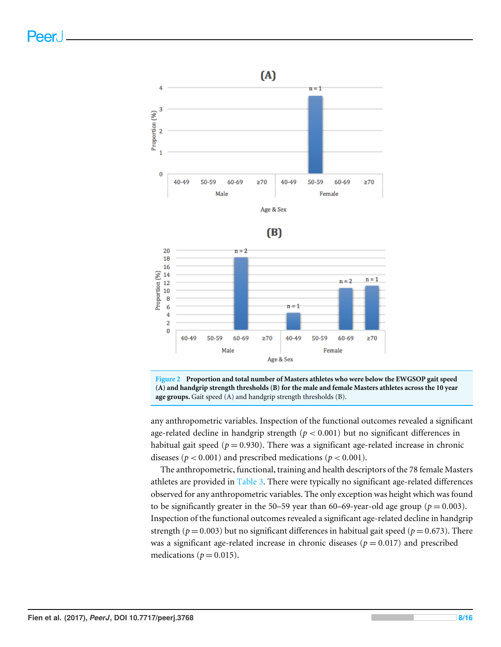<span id="page-8-0"></span>





**Figure 2 Proportion and total number of Masters athletes who were below the EWGSOP gait speed (A) and handgrip strength thresholds (B) for the male and female Masters athletes across the 10 year age groups.** Gait speed (A) and handgrip strength thresholds (B).

any anthropometric variables. Inspection of the functional outcomes revealed a significant age-related decline in handgrip strength  $(p < 0.001)$  but no significant differences in habitual gait speed ( $p = 0.930$ ). There was a significant age-related increase in chronic diseases ( $p < 0.001$ ) and prescribed medications ( $p < 0.001$ ).

The anthropometric, functional, training and health descriptors of the 78 female Masters athletes are provided in [Table 3.](#page-10-0) There were typically no significant age-related differences observed for any anthropometric variables. The only exception was height which was found to be significantly greater in the 50–59 year than 60–69-year-old age group ( $p = 0.003$ ). Inspection of the functional outcomes revealed a significant age-related decline in handgrip strength ( $p = 0.003$ ) but no significant differences in habitual gait speed ( $p = 0.673$ ). There was a significant age-related increase in chronic diseases ( $p = 0.017$ ) and prescribed medications ( $p = 0.015$ ).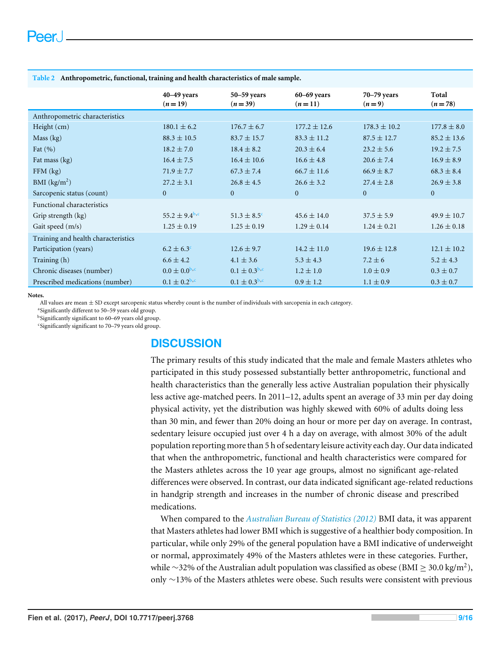|                                     | 40-49 years<br>$(n=19)$       | 50-59 years<br>$(n=39)$ | $60 - 69$ years<br>$(n=11)$ | $70 - 79$ years<br>$(n=9)$ | Total<br>$(n=78)$ |
|-------------------------------------|-------------------------------|-------------------------|-----------------------------|----------------------------|-------------------|
| Anthropometric characteristics      |                               |                         |                             |                            |                   |
| Height (cm)                         | $180.1 \pm 6.2$               | $176.7 \pm 6.7$         | $177.2 \pm 12.6$            | $178.3 \pm 10.2$           | $177.8 \pm 8.0$   |
| Mass (kg)                           | $88.3 \pm 10.5$               | $83.7 \pm 15.7$         | $83.3 \pm 11.2$             | $87.5 \pm 12.7$            | $85.2 \pm 13.6$   |
| Fat $(\% )$                         | $18.2 \pm 7.0$                | $18.4 \pm 8.2$          | $20.3 \pm 6.4$              | $23.2 \pm 5.6$             | $19.2 \pm 7.5$    |
| Fat mass (kg)                       | $16.4 \pm 7.5$                | $16.4 \pm 10.6$         | $16.6 \pm 4.8$              | $20.6 \pm 7.4$             | $16.9 \pm 8.9$    |
| $FFM$ $(kg)$                        | $71.9 \pm 7.7$                | $67.3 \pm 7.4$          | $66.7 \pm 11.6$             | $66.9 \pm 8.7$             | $68.3 \pm 8.4$    |
| BMI $(kg/m2)$                       | $27.2 \pm 3.1$                | $26.8 \pm 4.5$          | $26.6 \pm 3.2$              | $27.4 \pm 2.8$             | $26.9 \pm 3.8$    |
| Sarcopenic status (count)           | $\mathbf{0}$                  | $\mathbf{0}$            | $\mathbf{0}$                | $\mathbf{0}$               | $\overline{0}$    |
| <b>Functional characteristics</b>   |                               |                         |                             |                            |                   |
| Grip strength (kg)                  | 55.2 $\pm$ 9.4 <sup>b,c</sup> | $51.3 \pm 8.5^{\circ}$  | $45.6 \pm 14.0$             | $37.5 \pm 5.9$             | $49.9 \pm 10.7$   |
| Gait speed (m/s)                    | $1.25 \pm 0.19$               | $1.25 \pm 0.19$         | $1.29 \pm 0.14$             | $1.24 \pm 0.21$            | $1.26 \pm 0.18$   |
| Training and health characteristics |                               |                         |                             |                            |                   |
| Participation (years)               | $6.2 \pm 6.3^{\circ}$         | $12.6 \pm 9.7$          | $14.2 \pm 11.0$             | $19.6 \pm 12.8$            | $12.1 \pm 10.2$   |
| Training (h)                        | $6.6 \pm 4.2$                 | $4.1 \pm 3.6$           | $5.3 \pm 4.3$               | $7.2 \pm 6$                | $5.2 \pm 4.3$     |
| Chronic diseases (number)           | $0.0 \pm 0.0^{6,c}$           | $0.1 \pm 0.3^{b,c}$     | $1.2 \pm 1.0$               | $1.0 \pm 0.9$              | $0.3 \pm 0.7$     |
| Prescribed medications (number)     | $0.1 \pm 0.2^{\rm b,c}$       | $0.1 \pm 0.3^{b,c}$     | $0.9 \pm 1.2$               | $1.1 \pm 0.9$              | $0.3 \pm 0.7$     |

<span id="page-9-0"></span>**Table 2 Anthropometric, functional, training and health characteristics of male sample.**

**Notes.**

All values are mean  $\pm$  SD except sarcopenic status whereby count is the number of individuals with sarcopenia in each category.

a Significantly different to 50–59 years old group.

<span id="page-9-1"></span>b Significantly significant to 60–69 years old group.

<span id="page-9-2"></span>c Significantly significant to 70–79 years old group.

# **DISCUSSION**

The primary results of this study indicated that the male and female Masters athletes who participated in this study possessed substantially better anthropometric, functional and health characteristics than the generally less active Australian population their physically less active age-matched peers. In 2011–12, adults spent an average of 33 min per day doing physical activity, yet the distribution was highly skewed with 60% of adults doing less than 30 min, and fewer than 20% doing an hour or more per day on average. In contrast, sedentary leisure occupied just over 4 h a day on average, with almost 30% of the adult population reporting more than 5 h of sedentary leisure activity each day. Our data indicated that when the anthropometric, functional and health characteristics were compared for the Masters athletes across the 10 year age groups, almost no significant age-related differences were observed. In contrast, our data indicated significant age-related reductions in handgrip strength and increases in the number of chronic disease and prescribed medications.

When compared to the *[Australian Bureau of Statistics \(2012\)](#page-14-6)* BMI data, it was apparent that Masters athletes had lower BMI which is suggestive of a healthier body composition. In particular, while only 29% of the general population have a BMI indicative of underweight or normal, approximately 49% of the Masters athletes were in these categories. Further, while  $\sim$ 32% of the Australian adult population was classified as obese (BMI  $\geq$  30.0 kg/m<sup>2</sup>), only ∼13% of the Masters athletes were obese. Such results were consistent with previous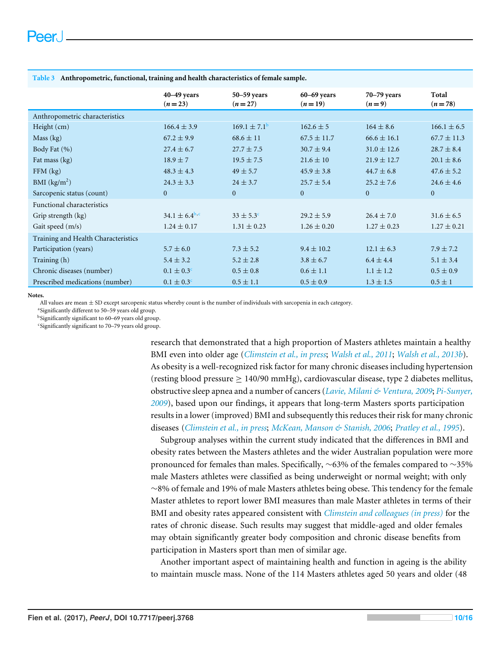|                                     | $40 - 49$ years<br>$(n=23)$ | $50 - 59$ years<br>$(n=27)$ | $60 - 69$ years<br>$(n=19)$ | $70 - 79$ years<br>$(n=9)$ | Total<br>$(n=78)$ |
|-------------------------------------|-----------------------------|-----------------------------|-----------------------------|----------------------------|-------------------|
| Anthropometric characteristics      |                             |                             |                             |                            |                   |
| Height $(cm)$                       | $166.4 \pm 3.9$             | $169.1 \pm 7.1^{\rm b}$     | $162.6 \pm 5$               | $164 \pm 8.6$              | $166.1 \pm 6.5$   |
| Mass (kg)                           | $67.2 \pm 9.9$              | $68.6 \pm 11$               | $67.5 \pm 11.7$             | $66.6 \pm 16.1$            | $67.7 \pm 11.3$   |
| Body Fat (%)                        | $27.4 \pm 6.7$              | $27.7 \pm 7.5$              | $30.7 \pm 9.4$              | $31.0 \pm 12.6$            | $28.7 \pm 8.4$    |
| Fat mass (kg)                       | $18.9 \pm 7$                | $19.5 \pm 7.5$              | $21.6 \pm 10$               | $21.9 \pm 12.7$            | $20.1 \pm 8.6$    |
| $FFM$ (kg)                          | $48.3 \pm 4.3$              | $49 \pm 5.7$                | $45.9 \pm 3.8$              | $44.7 \pm 6.8$             | $47.6 \pm 5.2$    |
| BMI $(kg/m2)$                       | $24.3 \pm 3.3$              | $24 \pm 3.7$                | $25.7 \pm 5.4$              | $25.2 \pm 7.6$             | $24.6 \pm 4.6$    |
| Sarcopenic status (count)           | $\mathbf{0}$                | $\mathbf{0}$                | $\Omega$                    | $\Omega$                   | $\mathbf{0}$      |
| <b>Functional characteristics</b>   |                             |                             |                             |                            |                   |
| Grip strength (kg)                  | $34.1 \pm 6.4^{\rm b,c}$    | $33 \pm 5.3^{\circ}$        | $29.2 \pm 5.9$              | $26.4 \pm 7.0$             | $31.6 \pm 6.5$    |
| Gait speed (m/s)                    | $1.24 \pm 0.17$             | $1.31 \pm 0.23$             | $1.26 \pm 0.20$             | $1.27 \pm 0.23$            | $1.27 \pm 0.21$   |
| Training and Health Characteristics |                             |                             |                             |                            |                   |
| Participation (years)               | $5.7 \pm 6.0$               | $7.3 \pm 5.2$               | $9.4 \pm 10.2$              | $12.1 \pm 6.3$             | $7.9 \pm 7.2$     |
| Training (h)                        | $5.4 \pm 3.2$               | $5.2 \pm 2.8$               | $3.8 \pm 6.7$               | $6.4 \pm 4.4$              | $5.1 \pm 3.4$     |
| Chronic diseases (number)           | $0.1 \pm 0.3^{\circ}$       | $0.5 \pm 0.8$               | $0.6 \pm 1.1$               | $1.1 \pm 1.2$              | $0.5 \pm 0.9$     |
| Prescribed medications (number)     | $0.1 \pm 0.3^{\circ}$       | $0.5 \pm 1.1$               | $0.5 \pm 0.9$               | $1.3 \pm 1.5$              | $0.5 \pm 1$       |

<span id="page-10-0"></span>**Table 3 Anthropometric, functional, training and health characteristics of female sample.**

**Notes.**

All values are mean ± SD except sarcopenic status whereby count is the number of individuals with sarcopenia in each category.

a Significantly different to 50–59 years old group.

<span id="page-10-1"></span>b Significantly significant to 60–69 years old group.

<span id="page-10-2"></span>c Significantly significant to 70–79 years old group.

research that demonstrated that a high proportion of Masters athletes maintain a healthy BMI even into older age (*[Climstein et al., in press](#page-14-5)*; *[Walsh et al., 2011](#page-16-5)*; *[Walsh et al., 2013b](#page-16-6)*). As obesity is a well-recognized risk factor for many chronic diseases including hypertension (resting blood pressure ≥ 140/90 mmHg), cardiovascular disease, type 2 diabetes mellitus, obstructive sleep apnea and a number of cancers (*[Lavie, Milani & Ventura, 2009](#page-15-8)*; *[Pi-Sunyer,](#page-16-8) [2009](#page-16-8)*), based upon our findings, it appears that long-term Masters sports participation results in a lower (improved) BMI and subsequently this reduces their risk for many chronic diseases (*[Climstein et al., in press](#page-14-5)*; *[McKean, Manson & Stanish, 2006](#page-15-3)*; *[Pratley et al., 1995](#page-16-9)*).

Subgroup analyses within the current study indicated that the differences in BMI and obesity rates between the Masters athletes and the wider Australian population were more pronounced for females than males. Specifically, ∼63% of the females compared to ∼35% male Masters athletes were classified as being underweight or normal weight; with only ∼8% of female and 19% of male Masters athletes being obese. This tendency for the female Master athletes to report lower BMI measures than male Master athletes in terms of their BMI and obesity rates appeared consistent with *[Climstein and colleagues \(in press\)](#page-14-5)* for the rates of chronic disease. Such results may suggest that middle-aged and older females may obtain significantly greater body composition and chronic disease benefits from participation in Masters sport than men of similar age.

Another important aspect of maintaining health and function in ageing is the ability to maintain muscle mass. None of the 114 Masters athletes aged 50 years and older (48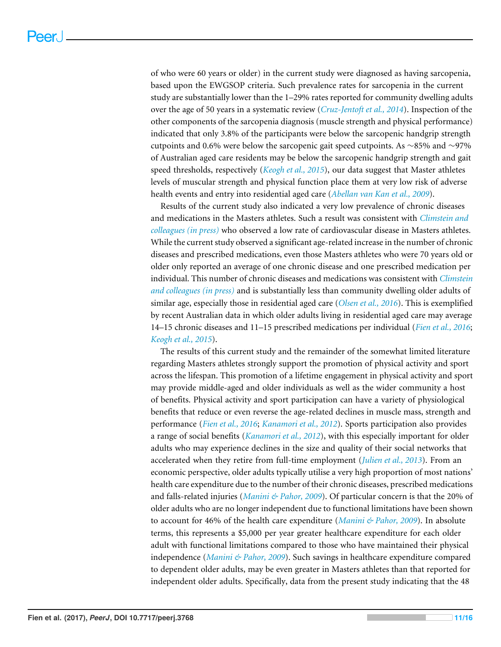of who were 60 years or older) in the current study were diagnosed as having sarcopenia, based upon the EWGSOP criteria. Such prevalence rates for sarcopenia in the current study are substantially lower than the 1–29% rates reported for community dwelling adults over the age of 50 years in a systematic review (*[Cruz-Jentoft et al., 2014](#page-14-2)*). Inspection of the other components of the sarcopenia diagnosis (muscle strength and physical performance) indicated that only 3.8% of the participants were below the sarcopenic handgrip strength cutpoints and 0.6% were below the sarcopenic gait speed cutpoints. As ∼85% and ∼97% of Australian aged care residents may be below the sarcopenic handgrip strength and gait speed thresholds, respectively (*[Keogh et al., 2015](#page-15-1)*), our data suggest that Master athletes levels of muscular strength and physical function place them at very low risk of adverse health events and entry into residential aged care (*[Abellan van Kan et al., 2009](#page-14-7)*).

Results of the current study also indicated a very low prevalence of chronic diseases and medications in the Masters athletes. Such a result was consistent with *[Climstein and](#page-14-5) [colleagues \(in press\)](#page-14-5)* who observed a low rate of cardiovascular disease in Masters athletes. While the current study observed a significant age-related increase in the number of chronic diseases and prescribed medications, even those Masters athletes who were 70 years old or older only reported an average of one chronic disease and one prescribed medication per individual. This number of chronic diseases and medications was consistent with *[Climstein](#page-14-5) [and colleagues \(in press\)](#page-14-5)* and is substantially less than community dwelling older adults of similar age, especially those in residential aged care (*[Olsen et al., 2016](#page-15-9)*). This is exemplified by recent Australian data in which older adults living in residential aged care may average 14–15 chronic diseases and 11–15 prescribed medications per individual (*[Fien et al., 2016](#page-15-2)*; *[Keogh et al., 2015](#page-15-1)*).

The results of this current study and the remainder of the somewhat limited literature regarding Masters athletes strongly support the promotion of physical activity and sport across the lifespan. This promotion of a lifetime engagement in physical activity and sport may provide middle-aged and older individuals as well as the wider community a host of benefits. Physical activity and sport participation can have a variety of physiological benefits that reduce or even reverse the age-related declines in muscle mass, strength and performance (*[Fien et al., 2016](#page-15-2)*; *[Kanamori et al., 2012](#page-15-10)*). Sports participation also provides a range of social benefits (*[Kanamori et al., 2012](#page-15-10)*), with this especially important for older adults who may experience declines in the size and quality of their social networks that accelerated when they retire from full-time employment (*[Julien et al., 2013](#page-15-11)*). From an economic perspective, older adults typically utilise a very high proportion of most nations' health care expenditure due to the number of their chronic diseases, prescribed medications and falls-related injuries (*[Manini & Pahor, 2009](#page-15-12)*). Of particular concern is that the 20% of older adults who are no longer independent due to functional limitations have been shown to account for 46% of the health care expenditure (*[Manini & Pahor, 2009](#page-15-12)*). In absolute terms, this represents a \$5,000 per year greater healthcare expenditure for each older adult with functional limitations compared to those who have maintained their physical independence (*[Manini & Pahor, 2009](#page-15-12)*). Such savings in healthcare expenditure compared to dependent older adults, may be even greater in Masters athletes than that reported for independent older adults. Specifically, data from the present study indicating that the 48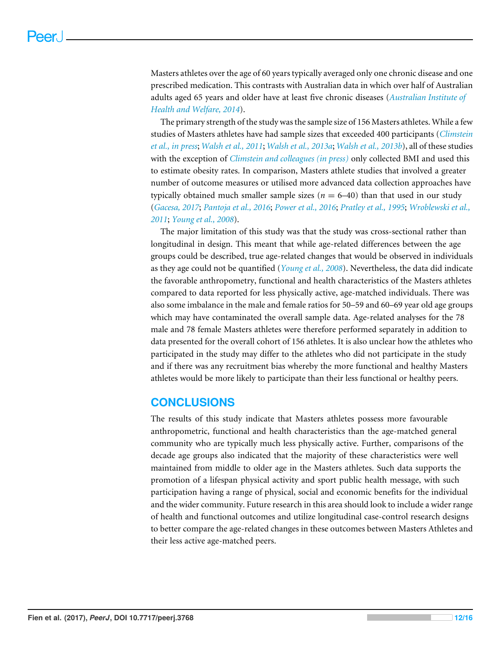Masters athletes over the age of 60 years typically averaged only one chronic disease and one prescribed medication. This contrasts with Australian data in which over half of Australian adults aged 65 years and older have at least five chronic diseases (*[Australian Institute of](#page-14-8) [Health and Welfare, 2014](#page-14-8)*).

The primary strength of the study was the sample size of 156 Masters athletes. While a few studies of Masters athletes have had sample sizes that exceeded 400 participants (*[Climstein](#page-14-5) [et al., in press](#page-14-5)*; *[Walsh et al., 2011](#page-16-5)*; *[Walsh et al., 2013a](#page-16-10)*; *[Walsh et al., 2013b](#page-16-6)*), all of these studies with the exception of *[Climstein and colleagues \(in press\)](#page-14-5)* only collected BMI and used this to estimate obesity rates. In comparison, Masters athlete studies that involved a greater number of outcome measures or utilised more advanced data collection approaches have typically obtained much smaller sample sizes ( $n = 6-40$ ) than that used in our study (*[Gacesa, 2017](#page-15-13)*; *[Pantoja et al., 2016](#page-16-2)*; *[Power et al., 2016](#page-16-11)*; *[Pratley et al., 1995](#page-16-9)*; *[Wroblewski et al.,](#page-16-0) [2011](#page-16-0)*; *[Young et al., 2008](#page-16-4)*).

The major limitation of this study was that the study was cross-sectional rather than longitudinal in design. This meant that while age-related differences between the age groups could be described, true age-related changes that would be observed in individuals as they age could not be quantified (*[Young et al., 2008](#page-16-4)*). Nevertheless, the data did indicate the favorable anthropometry, functional and health characteristics of the Masters athletes compared to data reported for less physically active, age-matched individuals. There was also some imbalance in the male and female ratios for 50–59 and 60–69 year old age groups which may have contaminated the overall sample data. Age-related analyses for the 78 male and 78 female Masters athletes were therefore performed separately in addition to data presented for the overall cohort of 156 athletes. It is also unclear how the athletes who participated in the study may differ to the athletes who did not participate in the study and if there was any recruitment bias whereby the more functional and healthy Masters athletes would be more likely to participate than their less functional or healthy peers.

# **CONCLUSIONS**

The results of this study indicate that Masters athletes possess more favourable anthropometric, functional and health characteristics than the age-matched general community who are typically much less physically active. Further, comparisons of the decade age groups also indicated that the majority of these characteristics were well maintained from middle to older age in the Masters athletes. Such data supports the promotion of a lifespan physical activity and sport public health message, with such participation having a range of physical, social and economic benefits for the individual and the wider community. Future research in this area should look to include a wider range of health and functional outcomes and utilize longitudinal case-control research designs to better compare the age-related changes in these outcomes between Masters Athletes and their less active age-matched peers.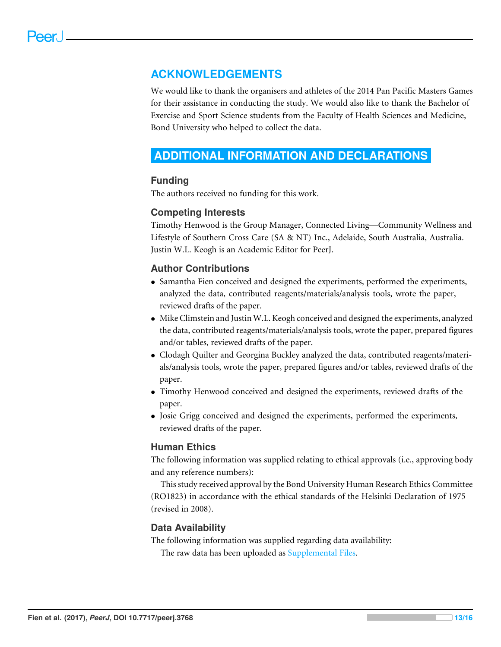# **ACKNOWLEDGEMENTS**

We would like to thank the organisers and athletes of the 2014 Pan Pacific Masters Games for their assistance in conducting the study. We would also like to thank the Bachelor of Exercise and Sport Science students from the Faculty of Health Sciences and Medicine, Bond University who helped to collect the data.

# <span id="page-13-0"></span>**ADDITIONAL INFORMATION AND DECLARATIONS**

# **Funding**

The authors received no funding for this work.

# **Competing Interests**

Timothy Henwood is the Group Manager, Connected Living—Community Wellness and Lifestyle of Southern Cross Care (SA & NT) Inc., Adelaide, South Australia, Australia. Justin W.L. Keogh is an Academic Editor for PeerJ.

# **Author Contributions**

- [Samantha Fien](#page-1-8) conceived and designed the experiments, performed the experiments, analyzed the data, contributed reagents/materials/analysis tools, wrote the paper, reviewed drafts of the paper.
- [Mike Climstein](#page-1-9) and [Justin W.L. Keogh](#page-1-10) conceived and designed the experiments, analyzed the data, contributed reagents/materials/analysis tools, wrote the paper, prepared figures and/or tables, reviewed drafts of the paper.
- [Clodagh Quilter](#page-1-11) and [Georgina Buckley](#page-1-12) analyzed the data, contributed reagents/materials/analysis tools, wrote the paper, prepared figures and/or tables, reviewed drafts of the paper.
- [Timothy Henwood](#page-1-13) conceived and designed the experiments, reviewed drafts of the paper.
- [Josie Grigg](#page-1-14) conceived and designed the experiments, performed the experiments, reviewed drafts of the paper.

# **Human Ethics**

The following information was supplied relating to ethical approvals (i.e., approving body and any reference numbers):

This study received approval by the Bond University Human Research Ethics Committee (RO1823) in accordance with the ethical standards of the Helsinki Declaration of 1975 (revised in 2008).

## **Data Availability**

The following information was supplied regarding data availability: The raw data has been uploaded as [Supplemental Files.](http://dx.doi.org/10.7717/peerj.3768#supplemental-information)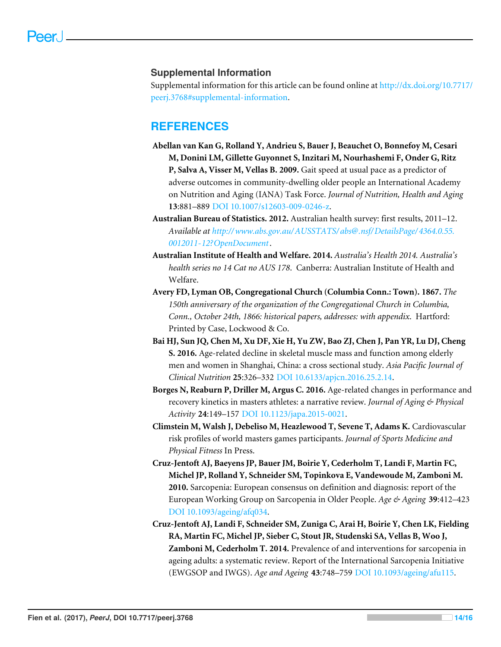## **Supplemental Information**

Supplemental information for this article can be found online at [http://dx.doi.org/10.7717/](http://dx.doi.org/10.7717/peerj.3768#supplemental-information) [peerj.3768#supplemental-information.](http://dx.doi.org/10.7717/peerj.3768#supplemental-information)

# **REFERENCES**

- <span id="page-14-7"></span>**Abellan van Kan G, Rolland Y, Andrieu S, Bauer J, Beauchet O, Bonnefoy M, Cesari M, Donini LM, Gillette Guyonnet S, Inzitari M, Nourhashemi F, Onder G, Ritz P, Salva A, Visser M, Vellas B. 2009.** Gait speed at usual pace as a predictor of adverse outcomes in community-dwelling older people an International Academy on Nutrition and Aging (IANA) Task Force. *Journal of Nutrition, Health and Aging* **13**:881–889 [DOI 10.1007/s12603-009-0246-z.](http://dx.doi.org/10.1007/s12603-009-0246-z)
- <span id="page-14-6"></span>**Australian Bureau of Statistics. 2012.** Australian health survey: first results, 2011–12. *Available at [http://www.abs.gov.au/AUSSTATS/ abs@.nsf/ DetailsPage/ 4364.0.55.](http://www.abs.gov.au/AUSSTATS/abs@.nsf/DetailsPage/4364.0.55.0012011-12?OpenDocument) [0012011-12?OpenDocument](http://www.abs.gov.au/AUSSTATS/abs@.nsf/DetailsPage/4364.0.55.0012011-12?OpenDocument)*.
- <span id="page-14-8"></span>**Australian Institute of Health and Welfare. 2014.** *Australia's Health 2014. Australia's health series no 14 Cat no AUS 178*. Canberra: Australian Institute of Health and Welfare.
- <span id="page-14-1"></span>**Avery FD, Lyman OB, Congregational Church (Columbia Conn.: Town). 1867.** *The 150th anniversary of the organization of the Congregational Church in Columbia, Conn., October 24th, 1866: historical papers, addresses: with appendix*. Hartford: Printed by Case, Lockwood & Co.
- <span id="page-14-3"></span>**Bai HJ, Sun JQ, Chen M, Xu DF, Xie H, Yu ZW, Bao ZJ, Chen J, Pan YR, Lu DJ, Cheng S. 2016.** Age-related decline in skeletal muscle mass and function among elderly men and women in Shanghai, China: a cross sectional study. *Asia Pacific Journal of Clinical Nutrition* **25**:326–332 [DOI 10.6133/apjcn.2016.25.2.14.](http://dx.doi.org/10.6133/apjcn.2016.25.2.14)
- <span id="page-14-4"></span>**Borges N, Reaburn P, Driller M, Argus C. 2016.** Age-related changes in performance and recovery kinetics in masters athletes: a narrative review. *Journal of Aging & Physical Activity* **24**:149–157 [DOI 10.1123/japa.2015-0021.](http://dx.doi.org/10.1123/japa.2015-0021)
- <span id="page-14-5"></span>**Climstein M, Walsh J, Debeliso M, Heazlewood T, Sevene T, Adams K.** Cardiovascular risk profiles of world masters games participants. *Journal of Sports Medicine and Physical Fitness* In Press.
- <span id="page-14-0"></span>**Cruz-Jentoft AJ, Baeyens JP, Bauer JM, Boirie Y, Cederholm T, Landi F, Martin FC, Michel JP, Rolland Y, Schneider SM, Topinkova E, Vandewoude M, Zamboni M. 2010.** Sarcopenia: European consensus on definition and diagnosis: report of the European Working Group on Sarcopenia in Older People. *Age & Ageing* **39**:412–423 [DOI 10.1093/ageing/afq034.](http://dx.doi.org/10.1093/ageing/afq034)
- <span id="page-14-2"></span>**Cruz-Jentoft AJ, Landi F, Schneider SM, Zuniga C, Arai H, Boirie Y, Chen LK, Fielding RA, Martin FC, Michel JP, Sieber C, Stout JR, Studenski SA, Vellas B, Woo J, Zamboni M, Cederholm T. 2014.** Prevalence of and interventions for sarcopenia in ageing adults: a systematic review. Report of the International Sarcopenia Initiative (EWGSOP and IWGS). *Age and Ageing* **43**:748–759 [DOI 10.1093/ageing/afu115.](http://dx.doi.org/10.1093/ageing/afu115)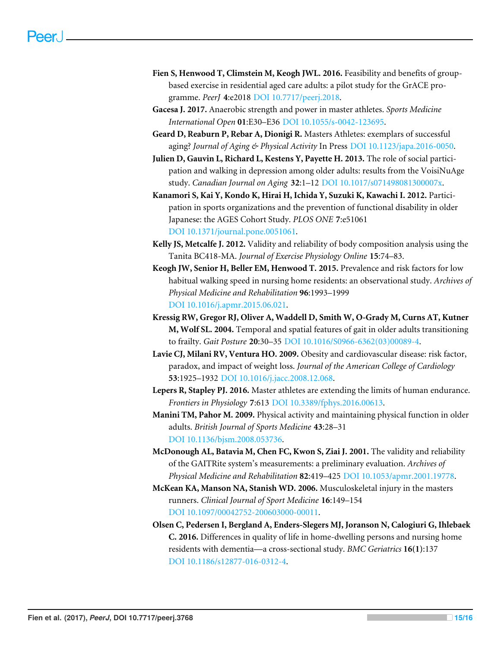- <span id="page-15-2"></span>**Fien S, Henwood T, Climstein M, Keogh JWL. 2016.** Feasibility and benefits of groupbased exercise in residential aged care adults: a pilot study for the GrACE programme. *PeerJ* **4**:e2018 [DOI 10.7717/peerj.2018.](http://dx.doi.org/10.7717/peerj.2018)
- <span id="page-15-13"></span>**Gacesa J. 2017.** Anaerobic strength and power in master athletes. *Sports Medicine International Open* **01**:E30–E36 [DOI 10.1055/s-0042-123695.](http://dx.doi.org/10.1055/s-0042-123695)
- <span id="page-15-4"></span>**Geard D, Reaburn P, Rebar A, Dionigi R.** Masters Athletes: exemplars of successful aging? *Journal of Aging & Physical Activity* In Press [DOI 10.1123/japa.2016-0050.](http://dx.doi.org/10.1123/japa.2016-0050)
- <span id="page-15-11"></span>**Julien D, Gauvin L, Richard L, Kestens Y, Payette H. 2013.** The role of social participation and walking in depression among older adults: results from the VoisiNuAge study. *Canadian Journal on Aging* **32**:1–12 [DOI 10.1017/s071498081300007x.](http://dx.doi.org/10.1017/s071498081300007x)
- <span id="page-15-10"></span>**Kanamori S, Kai Y, Kondo K, Hirai H, Ichida Y, Suzuki K, Kawachi I. 2012.** Participation in sports organizations and the prevention of functional disability in older Japanese: the AGES Cohort Study. *PLOS ONE* **7**:e51061 [DOI 10.1371/journal.pone.0051061.](http://dx.doi.org/10.1371/journal.pone.0051061)
- <span id="page-15-5"></span>**Kelly JS, Metcalfe J. 2012.** Validity and reliability of body composition analysis using the Tanita BC418-MA. *Journal of Exercise Physiology Online* **15**:74–83.
- <span id="page-15-1"></span>**Keogh JW, Senior H, Beller EM, Henwood T. 2015.** Prevalence and risk factors for low habitual walking speed in nursing home residents: an observational study. *Archives of Physical Medicine and Rehabilitation* **96**:1993–1999 [DOI 10.1016/j.apmr.2015.06.021.](http://dx.doi.org/10.1016/j.apmr.2015.06.021)
- <span id="page-15-7"></span>**Kressig RW, Gregor RJ, Oliver A, Waddell D, Smith W, O-Grady M, Curns AT, Kutner M, Wolf SL. 2004.** Temporal and spatial features of gait in older adults transitioning to frailty. *Gait Posture* **20**:30–35 [DOI 10.1016/S0966-6362\(03\)00089-4.](http://dx.doi.org/10.1016/S0966-6362(03)00089-4)
- <span id="page-15-8"></span>**Lavie CJ, Milani RV, Ventura HO. 2009.** Obesity and cardiovascular disease: risk factor, paradox, and impact of weight loss. *Journal of the American College of Cardiology* **53**:1925–1932 [DOI 10.1016/j.jacc.2008.12.068.](http://dx.doi.org/10.1016/j.jacc.2008.12.068)
- <span id="page-15-0"></span>**Lepers R, Stapley PJ. 2016.** Master athletes are extending the limits of human endurance. *Frontiers in Physiology* **7**:613 [DOI 10.3389/fphys.2016.00613.](http://dx.doi.org/10.3389/fphys.2016.00613)
- <span id="page-15-12"></span>**Manini TM, Pahor M. 2009.** Physical activity and maintaining physical function in older adults. *British Journal of Sports Medicine* **43**:28–31 [DOI 10.1136/bjsm.2008.053736.](http://dx.doi.org/10.1136/bjsm.2008.053736)
- <span id="page-15-6"></span>**McDonough AL, Batavia M, Chen FC, Kwon S, Ziai J. 2001.** The validity and reliability of the GAITRite system's measurements: a preliminary evaluation. *Archives of Physical Medicine and Rehabilitation* **82**:419–425 [DOI 10.1053/apmr.2001.19778.](http://dx.doi.org/10.1053/apmr.2001.19778)
- <span id="page-15-3"></span>**McKean KA, Manson NA, Stanish WD. 2006.** Musculoskeletal injury in the masters runners. *Clinical Journal of Sport Medicine* **16**:149–154 [DOI 10.1097/00042752-200603000-00011.](http://dx.doi.org/10.1097/00042752-200603000-00011)
- <span id="page-15-9"></span>**Olsen C, Pedersen I, Bergland A, Enders-Slegers MJ, Joranson N, Calogiuri G, Ihlebaek C. 2016.** Differences in quality of life in home-dwelling persons and nursing home residents with dementia—a cross-sectional study. *BMC Geriatrics* **16(1)**:137 [DOI 10.1186/s12877-016-0312-4.](http://dx.doi.org/10.1186/s12877-016-0312-4)